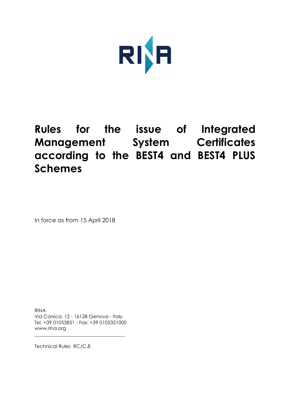

# **Rules for the issue of Integrated Management System Certificates according to the BEST4 and BEST4 PLUS Schemes**

In force as from 15 April 2018

RINA Via Corsica, 12 - 16128 Genova - Italy Tel. +39 01053851 - Fax: +39 0105351000 www.rina.org

\_\_\_\_\_\_\_\_\_\_\_\_\_\_\_\_\_\_\_\_\_\_\_\_\_\_\_\_\_\_\_\_\_\_\_\_\_

Technical Rules RC/C.8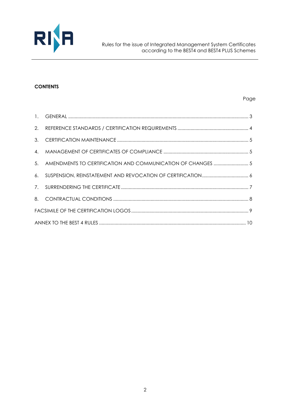

#### **CONTENTS**

#### Page

| $\mathbf{1}$ . |                                                             |  |  |
|----------------|-------------------------------------------------------------|--|--|
| 2.             |                                                             |  |  |
| 3.             |                                                             |  |  |
| 4.             |                                                             |  |  |
| 5 <sub>1</sub> | AMENDMENTS TO CERTIFICATION AND COMMUNICATION OF CHANGES  5 |  |  |
| 6.             |                                                             |  |  |
|                |                                                             |  |  |
| 8.             |                                                             |  |  |
|                |                                                             |  |  |
|                |                                                             |  |  |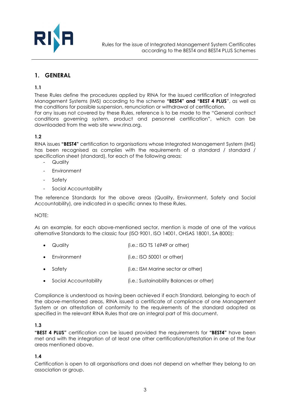

# **1. GENERAL**

**1.1**

These Rules define the procedures applied by RINA for the issued certification of Integrated Management Systems (IMS) according to the scheme **"BEST4" and "BEST 4 PLUS**", as well as the conditions for possible suspension, renunciation or withdrawal of certification. For any issues not covered by these Rules, reference is to be made to the "General contract conditions governing system, product and personnel certification", which can be downloaded from the web site www.rina.org.

#### **1.2**

RINA issues **"BEST4"** certification to organisations whose Integrated Management System (IMS) has been recognised as complies with the requirements of a standard / standard / specification sheet (standard), for each of the following areas:

- Quality
- **Environment**
- Safety
- Social Accountability

The reference Standards for the above areas (Quality, Environment, Safety and Social Accountability), are indicated in a specific annex to these Rules.

#### NOTE:

As an example, for each above-mentioned sector, mention is made of one of the various alternative Standards to the classic four (ISO 9001, ISO 14001, OHSAS 18001, SA 8000):

|  | Quality | $(i.e.:$ ISO TS 16949 or other) |
|--|---------|---------------------------------|
|--|---------|---------------------------------|

- Environment (i.e.: ISO 50001 or other)
- Safety **(i.e.: ISM Marine sector or other)**
- Social Accountability (i.e.: Sustainability Balances or other)

Compliance is understood as having been achieved if each Standard, belonging to each of the above-mentioned areas, RINA issued a certificate of compliance of one Management System or an attestation of conformity to the requirements of the standard adopted as specified in the relevant RINA Rules that are an integral part of this document.

#### **1.3**

**"BEST 4 PLUS"** certification can be issued provided the requirements for **"BEST4"** have been met and with the integration of at least one other certification/attestation in one of the four areas mentioned above.

#### **1.4**

Certification is open to all organisations and does not depend on whether they belong to an association or group.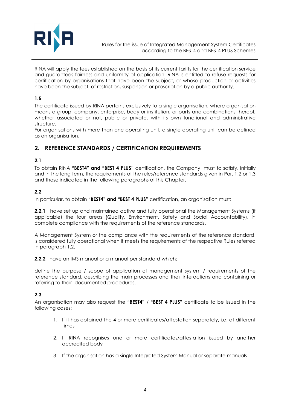

RINA will apply the fees established on the basis of its current tariffs for the certification service and guarantees fairness and uniformity of application. RINA is entitled to refuse requests for certification by organisations that have been the subject, or whose production or activities have been the subject, of restriction, suspension or proscription by a public authority.

## **1.5**

The certificate issued by RINA pertains exclusively to a single organisation, where organisation means a group, company, enterprise, body or institution, or parts and combinations thereof, whether associated or not, public or private, with its own functional and administrative structure.

For organisations with more than one operating unit, a single operating unit can be defined as an organisation.

# **2. REFERENCE STANDARDS / CERTIFICATION REQUIREMENTS**

#### **2.1**

To obtain RINA **"BEST4" and "BEST 4 PLUS**" certification, the Company must to satisfy, initially and in the long term, the requirements of the rules/reference standards given in Par. 1.2 or 1.3 and those indicated in the following paragraphs of this Chapter.

#### **2.2**

In particular, to obtain **"BEST4" and "BEST 4 PLUS**" certification, an organisation must:

**2.2.1** have set up and maintained active and fully operational the Management Systems (if applicable) the four areas (Quality, Environment, Safety and Social Accountability), in complete compliance with the requirements of the reference standards.

A Management System or the compliance with the requirements of the reference standard, is considered fully operational when it meets the requirements of the respective Rules referred in paragraph 1.2.

**2.2.2** have an IMS manual or a manual per standard which:

define the purpose / scope of application of management system / requirements of the reference standard, describing the main processes and their interactions and containing or referring to their documented procedures.

#### **2.3**

An organisation may also request the **"BEST4"** / **"BEST 4 PLUS"** certificate to be issued in the following cases:

- 1. If it has obtained the 4 or more certificates/attestation separately, i.e. at different times
- 2. If RINA recognises one or more certificates/attestation issued by another accredited body
- 3. If the organisation has a single Integrated System Manual or separate manuals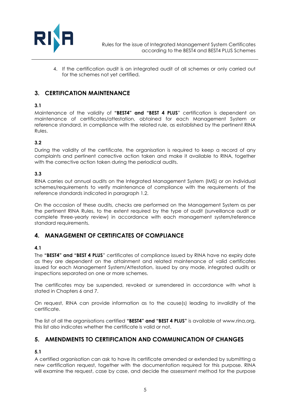

4. If the certification audit is an integrated audit of all schemes or only carried out for the schemes not yet certified.

# **3. CERTIFICATION MAINTENANCE**

# **3.1**

Maintenance of the validity of **"BEST4" and "BEST 4 PLUS**" certification is dependent on maintenance of certificates/attestation, obtained for each Management System or reference standard, in compliance with the related rule, as established by the pertinent RINA Rules.

#### **3.2**

During the validity of the certificate, the organisation is required to keep a record of any complaints and pertinent corrective action taken and make it available to RINA, together with the corrective action taken during the periodical audits.

#### **3.3**

RINA carries out annual audits on the Integrated Management System (IMS) or on individual schemes/requirements to verify maintenance of compliance with the requirements of the reference standards indicated in paragraph 1.2.

On the occasion of these audits, checks are performed on the Management System as per the pertinent RINA Rules, to the extent required by the type of audit (surveillance audit or complete three-yearly review) in accordance with each management system/reference standard requirements.

# **4. MANAGEMENT OF CERTIFICATES OF COMPLIANCE**

#### **4.1**

The **"BEST4" and "BEST 4 PLUS**" certificates of compliance issued by RINA have no expiry date as they are dependent on the attainment and related maintenance of valid certificates issued for each Management System/Attestation, issued by any mode, integrated audits or inspections separated on one or more schemes.

The certificates may be suspended, revoked or surrendered in accordance with what is stated in Chapters 6 and 7.

On request, RINA can provide information as to the cause(s) leading to invalidity of the certificate.

The list of all the organisations certified **"BEST4" and "BEST 4 PLUS"** is available at www.rina.org, this list also indicates whether the certificate is valid or not.

# **5. AMENDMENTS TO CERTIFICATION AND COMMUNICATION OF CHANGES**

# **5.1**

A certified organisation can ask to have its certificate amended or extended by submitting a new certification request, together with the documentation required for this purpose. RINA will examine the request, case by case, and decide the assessment method for the purpose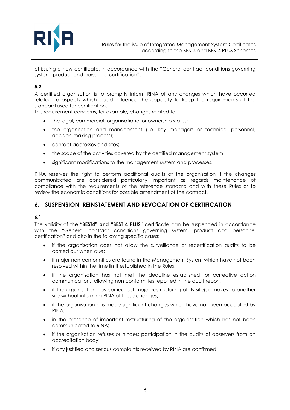

of issuing a new certificate, in accordance with the "General contract conditions governing system, product and personnel certification".

# **5.2**

A certified organisation is to promptly inform RINA of any changes which have occurred related to aspects which could influence the capacity to keep the requirements of the standard used for certification.

This requirement concerns, for example, changes related to:

- the legal, commercial, organisational or ownership status;
- the organisation and management (i.e. key managers or technical personnel, decision-making process);
- contact addresses and sites:
- the scope of the activities covered by the certified management system;
- significant modifications to the management system and processes.

RINA reserves the right to perform additional audits of the organisation if the changes communicated are considered particularly important as regards maintenance of compliance with the requirements of the reference standard and with these Rules or to review the economic conditions for possible amendment of the contract.

# **6. SUSPENSION, REINSTATEMENT AND REVOCATION OF CERTIFICATION**

#### **6.1**

The validity of the **"BEST4" and "BEST 4 PLUS"** certificate can be suspended in accordance with the "General contract conditions governing system, product and personnel certification" and also in the following specific cases:

- if the organisation does not allow the surveillance or recertification audits to be carried out when due;
- if major non conformities are found in the Management System which have not been resolved within the time limit established in the Rules;
- if the organisation has not met the deadline established for corrective action communication, following non conformities reported in the audit report;
- if the organisation has carried out major restructuring of its site(s), moves to another site without informing RINA of these changes;
- if the organisation has made significant changes which have not been accepted by RINA;
- in the presence of important restructuring of the organisation which has not been communicated to RINA;
- if the organisation refuses or hinders participation in the audits of observers from an accreditation body;
- if any justified and serious complaints received by RINA are confirmed.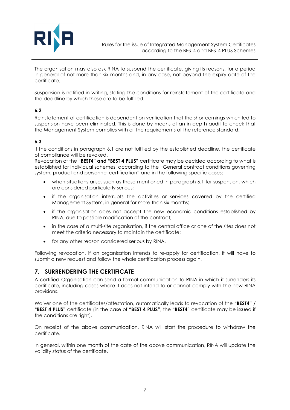

The organisation may also ask RINA to suspend the certificate, giving its reasons, for a period in general of not more than six months and, in any case, not beyond the expiry date of the certificate.

Suspension is notified in writing, stating the conditions for reinstatement of the certificate and the deadline by which these are to be fulfilled.

#### **6.2**

Reinstatement of certification is dependent on verification that the shortcomings which led to suspension have been eliminated. This is done by means of an in-depth audit to check that the Management System complies with all the requirements of the reference standard.

#### **6.3**

If the conditions in paragraph 6.1 are not fulfilled by the established deadline, the certificate of compliance will be revoked.

Revocation of the **"BEST4" and "BEST 4 PLUS"** certificate may be decided according to what is established for individual schemes, according to the "General contract conditions governing system, product and personnel certification" and in the following specific cases:

- when situations arise, such as those mentioned in paragraph 6.1 for suspension, which are considered particularly serious;
- if the organisation interrupts the activities or services covered by the certified Management System, in general for more than six months;
- if the organisation does not accept the new economic conditions established by RINA, due to possible modification of the contract;
- in the case of a multi-site organisation, if the central office or one of the sites does not meet the criteria necessary to maintain the certificate;
- for any other reason considered serious by RINA.

Following revocation, if an organisation intends to re-apply for certification, it will have to submit a new request and follow the whole certification process again.

# **7. SURRENDERING THE CERTIFICATE**

A certified Organisation can send a formal communication to RINA in which it surrenders its certificate, including cases where it does not intend to or cannot comply with the new RINA provisions.

Waiver one of the certificates/attestation, automatically leads to revocation of the **"BEST4" / "BEST 4 PLUS"** certificate (in the case of **"BEST 4 PLUS"**, the **"BEST4"** certificate may be issued if the conditions are right).

On receipt of the above communication, RINA will start the procedure to withdraw the certificate.

In general, within one month of the date of the above communication, RINA will update the validity status of the certificate.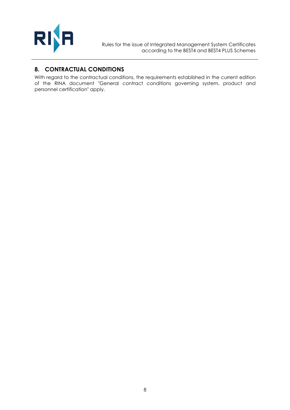

# **8. CONTRACTUAL CONDITIONS**

With regard to the contractual conditions, the requirements established in the current edition of the RINA document "General contract conditions governing system, product and personnel certification" apply.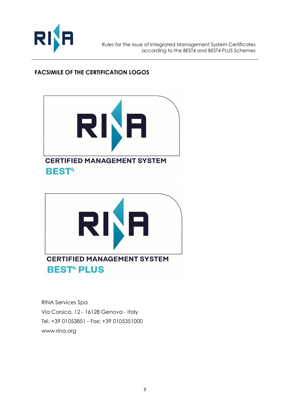

# **FACSIMILE OF THE CERTIFICATION LOGOS**





RINA Services Spa Via Corsica, 12 - 16128 Genova - Italy Tel. +39 01053851 - Fax: +39 0105351000 www.rina.org